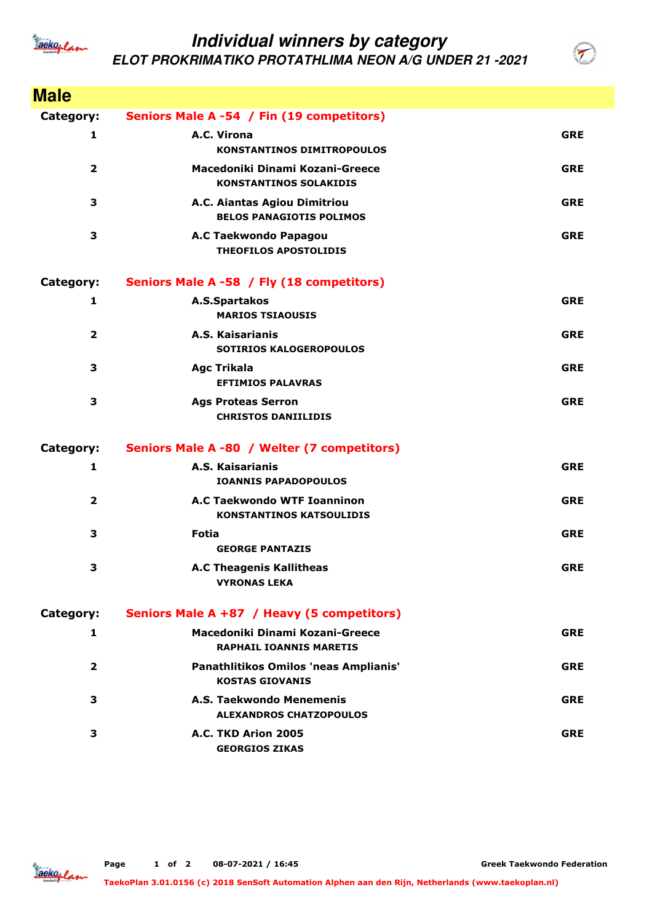

## **Individual winners by category ELOT PROKRIMATIKO PROTATHLIMA NEON A/G UNDER 21 -2021**

| <b>Male</b>    |                                                                   |            |
|----------------|-------------------------------------------------------------------|------------|
| Category:      | Seniors Male A -54 / Fin (19 competitors)                         |            |
| 1              | A.C. Virona<br><b>KONSTANTINOS DIMITROPOULOS</b>                  | <b>GRE</b> |
| $\overline{2}$ | Macedoniki Dinami Kozani-Greece<br><b>KONSTANTINOS SOLAKIDIS</b>  | <b>GRE</b> |
| 3              | A.C. Aiantas Agiou Dimitriou<br><b>BELOS PANAGIOTIS POLIMOS</b>   | <b>GRE</b> |
| 3              | A.C Taekwondo Papagou<br><b>THEOFILOS APOSTOLIDIS</b>             | <b>GRE</b> |
| Category:      | Seniors Male A -58 / Fly (18 competitors)                         |            |
| 1              | A.S.Spartakos<br><b>MARIOS TSIAOUSIS</b>                          | <b>GRE</b> |
| $\overline{2}$ | A.S. Kaisarianis<br><b>SOTIRIOS KALOGEROPOULOS</b>                | <b>GRE</b> |
| 3              | <b>Agc Trikala</b><br><b>EFTIMIOS PALAVRAS</b>                    | <b>GRE</b> |
| 3              | <b>Ags Proteas Serron</b><br><b>CHRISTOS DANIILIDIS</b>           | <b>GRE</b> |
| Category:      | Seniors Male A -80 / Welter (7 competitors)                       |            |
| 1              | A.S. Kaisarianis<br><b>IOANNIS PAPADOPOULOS</b>                   | <b>GRE</b> |
| $\overline{2}$ | A.C Taekwondo WTF Ioanninon<br><b>KONSTANTINOS KATSOULIDIS</b>    | <b>GRE</b> |
| 3              | <b>Fotia</b><br><b>GEORGE PANTAZIS</b>                            | <b>GRE</b> |
| 3              | <b>A.C Theagenis Kallitheas</b><br><b>VYRONAS LEKA</b>            | <b>GRE</b> |
| Category:      | Seniors Male A +87 / Heavy (5 competitors)                        |            |
| 1              | Macedoniki Dinami Kozani-Greece<br><b>RAPHAIL IOANNIS MARETIS</b> | <b>GRE</b> |
| $\overline{2}$ | Panathlitikos Omilos 'neas Amplianis'<br><b>KOSTAS GIOVANIS</b>   | <b>GRE</b> |
| 3              | A.S. Taekwondo Menemenis<br><b>ALEXANDROS CHATZOPOULOS</b>        | <b>GRE</b> |
| 3              | A.C. TKD Arion 2005<br><b>GEORGIOS ZIKAS</b>                      | <b>GRE</b> |



**Greek Taekwondo Federation**